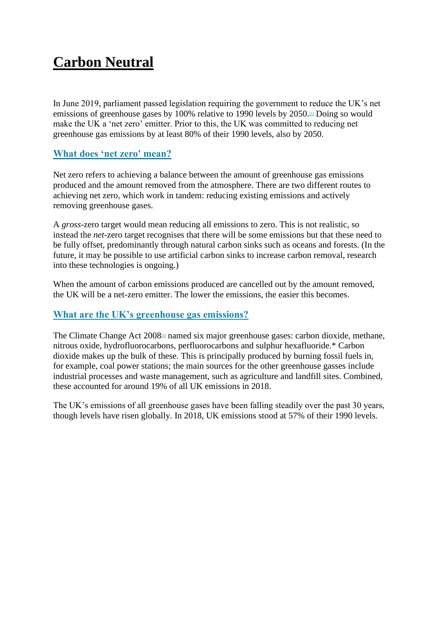# **Carbon Neutral**

In June 2019, parliament passed legislation requiring the government to reduce the UK's net emissions of greenhouse gases by 100% relative to 1990 levels by  $2050$ .<sup> $\text{II}$ </sup> Doing so would make the UK a 'net zero' emitter. Prior to this, the UK was committed to reducing net greenhouse gas emissions by at least 80% of their 1990 levels, also by 2050.

## **[What does 'net zero' mean?](http://twitter.com/intent/tweet?text=What%20does%20%E2%80%98net%20zero)**

Net zero refers to achieving a balance between the amount of greenhouse gas emissions produced and the amount removed from the atmosphere. There are two different routes to achieving net zero, which work in tandem: reducing existing emissions and actively removing greenhouse gases.

A *gross*-zero target would mean reducing all emissions to zero. This is not realistic, so instead the *net*-zero target recognises that there will be some emissions but that these need to be fully offset, predominantly through natural carbon sinks such as oceans and forests. (In the future, it may be possible to use artificial carbon sinks to increase carbon removal, research into these technologies is ongoing.)

When the amount of carbon emissions produced are cancelled out by the amount removed, the UK will be a net-zero emitter. The lower the emissions, the easier this becomes.

### **[What are the UK's greenhouse gas emissions?](http://twitter.com/intent/tweet?text=What%20are%20the%20UK%E2%80%99s%20greenhouse%20gas%20emissions%3F)**

The Climate Change Act 200[8](http://www.instituteforgovernment.org.uk/explainers/net-zero-target#references)<sup>[2]</sup> named six major greenhouse gases: carbon dioxide, methane, nitrous oxide, hydrofluorocarbons, perfluorocarbons and sulphur hexafluoride.\* Carbon dioxide makes up the bulk of these. This is principally produced by burning fossil fuels in, for example, coal power stations; the main sources for the other greenhouse gasses include industrial processes and waste management, such as agriculture and landfill sites. Combined, these accounted for around 19% of all UK emissions in 2018.

The UK's emissions of all greenhouse gases have been falling steadily over the past 30 years, though levels have risen globally. In 2018, UK emissions stood at 57% of their 1990 levels.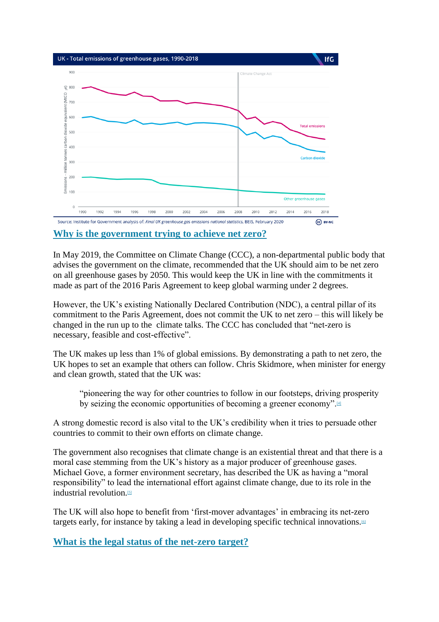

**[Why is the government trying to achieve net zero?](http://twitter.com/intent/tweet?text=Why%20is%20the%20government%20trying%20to%20achieve%20net%20zero%3F)**

In May 2019, the Committee on Climate Change (CCC), a non-departmental public body that advises the government on the climate, recommended that the UK should aim to be net zero on all greenhouse gases by 2050. This would keep the UK in line with the commitments it made as part of the 2016 Paris Agreement to keep global warming under 2 degrees.

However, the UK's existing Nationally Declared Contribution (NDC), a central pillar of its commitment to the Paris Agreement, does not commit the UK to net zero – this will likely be changed in the run up to the climate talks. The CCC has concluded that "net-zero is necessary, feasible and cost-effective".

The UK makes up less than 1% of global emissions. By demonstrating a path to net zero, the UK hopes to set an example that others can follow. Chris Skidmore, when minister for energy and clean growth, stated that the UK was:

"pioneering the way for other countries to follow in our footsteps, driving prosperity by seizing the economic opportunities of becoming a greener economy".

A strong domestic record is also vital to the UK's credibility when it tries to persuade other countries to commit to their own efforts on climate change.

The government also recognises that climate change is an existential threat and that there is a moral case stemming from the UK's history as a major producer of greenhouse gases. Michael Gove, a former environment secretary, has described the UK as having a "moral responsibility" to lead the international effort against climate change, due to its role in the industrial revolution[.](https://www.instituteforgovernment.org.uk/explainers/net-zero-target#references)<sup>[5]</sup>

The UK will also hope to benefit from 'first-mover advantages' in embracing its net-zero targets early, for instance by taking a lead in developing specific technical innovations.<sup>[\[6\]](https://www.instituteforgovernment.org.uk/explainers/net-zero-target#references)</sup>

**[What is the legal status of the net-zero target?](http://twitter.com/intent/tweet?text=What%20is%20the%20legal%20status%20of%20the%20net-zero%20target%3F)**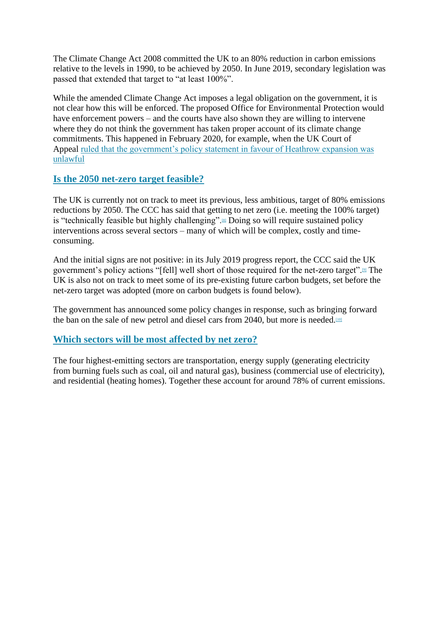The Climate Change Act 2008 committed the UK to an 80% reduction in carbon emissions relative to the levels in 1990, to be achieved by 2050. In June 2019, secondary legislation was passed that extended that target to "at least 100%".

While the amended Climate Change Act imposes a legal obligation on the government, it is not clear how this will be enforced. The proposed Office for Environmental Protection would have enforcement powers – and the courts have also shown they are willing to intervene where they do not think the government has taken proper account of its climate change commitments. This happened in February 2020, for example, when the UK Court of Appeal [ruled that the government's policy statement in favour of Heathrow expansion was](https://www.instituteforgovernment.org.uk/blog/court-appeal-heathrow-unlawful)  [unlawful](https://www.instituteforgovernment.org.uk/blog/court-appeal-heathrow-unlawful)

### **[Is the 2050 net-zero target feasible?](http://twitter.com/intent/tweet?text=Is%20the%202050%20net-zero%20target%20feasible%3F%0A%0A)**

The UK is currently not on track to meet its previous, less ambitious, target of 80% emissions reductions by 2050. The CCC has said that getting to net zero (i.e. meeting the 100% target) is "technically feasible but highly challenging"[.](https://www.instituteforgovernment.org.uk/explainers/net-zero-target#references)<sup>[8]</sup> Doing so will require sustained policy interventions across several sectors – many of which will be complex, costly and timeconsuming.

And the initial signs are not positive: in its July 2019 progress report, the CCC said the UK government's policy actions "[fell] well short of those required for the net-zero target".<sup>[\[9\]](https://www.instituteforgovernment.org.uk/explainers/net-zero-target#references)</sup> The UK is also not on track to meet some of its pre-existing future carbon budgets, set before the net-zero target was adopted (more on carbon budgets is found below).

The government has announced some policy changes in response, such as bringing forward the ban on the sale of new petrol and diesel cars from 2040, but more is needed.<sup>[\[10\]](https://www.instituteforgovernment.org.uk/explainers/net-zero-target#references)</sup>

### **[Which sectors will be most affected by net zero?](http://twitter.com/intent/tweet?text=Which%20sectors%20will%20be%20most%20affected%20by%20net%20zero%3F%0A)**

The four highest-emitting sectors are transportation, energy supply (generating electricity from burning fuels such as coal, oil and natural gas), business (commercial use of electricity), and residential (heating homes). Together these account for around 78% of current emissions.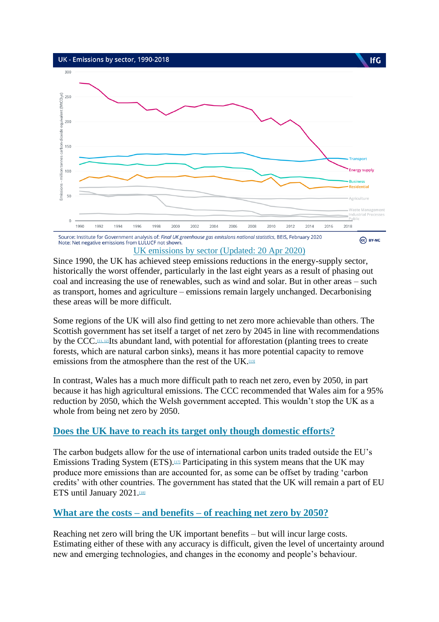

#### [UK emissions by sector \(Updated: 20 Apr 2020\)](https://www.instituteforgovernment.org.uk/charts/uk-emissions-sector)

Since 1990, the UK has achieved steep emissions reductions in the energy-supply sector, historically the worst offender, particularly in the last eight years as a result of phasing out coal and increasing the use of renewables, such as wind and solar. But in other areas – such as transport, homes and agriculture – emissions remain largely unchanged. Decarbonising these areas will be more difficult.

Some regions of the UK will also find getting to net zero more achievable than others. The Scottish government has set itself a target of net zero by 2045 in line with recommendations by the CCC.<sup>[\[11, 12\]](https://www.instituteforgovernment.org.uk/explainers/net-zero-target#references)</sup>Its abundant land, with potential for afforestation (planting trees to create forests, which are natural carbon sinks), means it has more potential capacity to remove emissions from the atmosphere than the rest of the UK.<sup>[\[13\]](https://www.instituteforgovernment.org.uk/explainers/net-zero-target#references)</sup>

In contrast, Wales has a much more difficult path to reach net zero, even by 2050, in part because it has high agricultural emissions. The CCC recommended that Wales aim for a 95% reduction by 2050, which the Welsh government accepted. This wouldn't stop the UK as a whole from being net zero by 2050.

### **[Does the UK have to reach its target only though domestic efforts?](http://twitter.com/intent/tweet?text=Does%20the%20UK%20have%20to%20reach%20its%20target%20only%20though%20domestic%20efforts%3F%0A%0A)**

The carbon budgets allow for the use of international carbon units traded outside the EU's Emissions Trading System (ETS).<sup>[\[17\]](https://www.instituteforgovernment.org.uk/explainers/net-zero-target#references)</sup> Participating in this system means that the UK may produce more emissions than are accounted for, as some can be offset by trading 'carbon credits' with other countries. The government has stated that the UK will remain a part of EU ETS until January 2021.<sup>[\[18\]](https://www.instituteforgovernment.org.uk/explainers/net-zero-target#references)</sup>

#### **What are the costs – and benefits – [of reaching net zero by 2050?](http://twitter.com/intent/tweet?text=What%20are%20the%20costs%20%E2%80%93%20and%20benefits%20%E2%80%93%20of%20reaching%20net%20zero%20by%202050%3F)**

Reaching net zero will bring the UK important benefits – but will incur large costs. Estimating either of these with any accuracy is difficult, given the level of uncertainty around new and emerging technologies, and changes in the economy and people's behaviour.